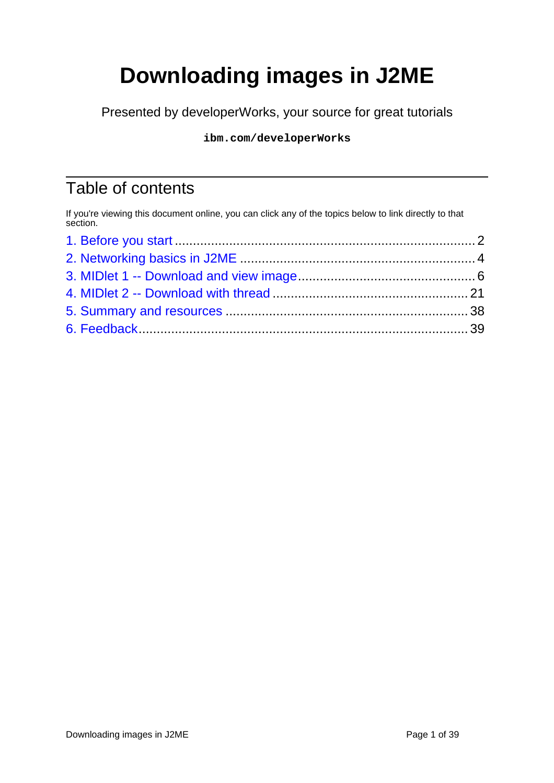# **Downloading images in J2ME**

Presented by developerWorks, your source for great tutorials

#### **ibm.com/developerWorks**

# Table of contents

If you're viewing this document online, you can click any of the topics below to link directly to that section.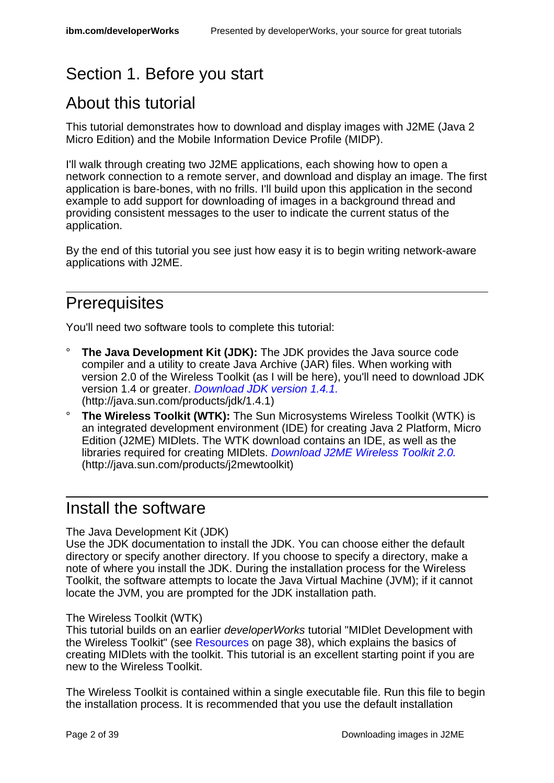# <span id="page-1-0"></span>Section 1. Before you start

# About this tutorial

This tutorial demonstrates how to download and display images with J2ME (Java 2 Micro Edition) and the Mobile Information Device Profile (MIDP).

I'll walk through creating two J2ME applications, each showing how to open a network connection to a remote server, and download and display an image. The first application is bare-bones, with no frills. I'll build upon this application in the second example to add support for downloading of images in a background thread and providing consistent messages to the user to indicate the current status of the application.

By the end of this tutorial you see just how easy it is to begin writing network-aware applications with J2ME.

### **Prerequisites**

You'll need two software tools to complete this tutorial:

- **The Java Development Kit (JDK):** The JDK provides the Java source code compiler and a utility to create Java Archive (JAR) files. When working with version 2.0 of the Wireless Toolkit (as I will be here), you'll need to download JDK version 1.4 or greater. [Download JDK version 1.4.1.](http://java.sun.com/products/jdk/1.4.1) (http://java.sun.com/products/jdk/1.4.1)
- ° **The Wireless Toolkit (WTK):** The Sun Microsystems Wireless Toolkit (WTK) is an integrated development environment (IDE) for creating Java 2 Platform, Micro Edition (J2ME) MIDlets. The WTK download contains an IDE, as well as the libraries required for creating MIDlets. [Download J2ME Wireless Toolkit 2.0.](http://java.sun.com/products/j2mewtoolkit) (http://java.sun.com/products/j2mewtoolkit)

### Install the software

#### The Java Development Kit (JDK)

Use the JDK documentation to install the JDK. You can choose either the default directory or specify another directory. If you choose to specify a directory, make a note of where you install the JDK. During the installation process for the Wireless Toolkit, the software attempts to locate the Java Virtual Machine (JVM); if it cannot locate the JVM, you are prompted for the JDK installation path.

#### The Wireless Toolkit (WTK)

This tutorial builds on an earlier developerWorks tutorial "MIDlet Development with the Wireless Toolkit" (see [Resources](#page-37-1) on page 38), which explains the basics of creating MIDlets with the toolkit. This tutorial is an excellent starting point if you are new to the Wireless Toolkit.

The Wireless Toolkit is contained within a single executable file. Run this file to begin the installation process. It is recommended that you use the default installation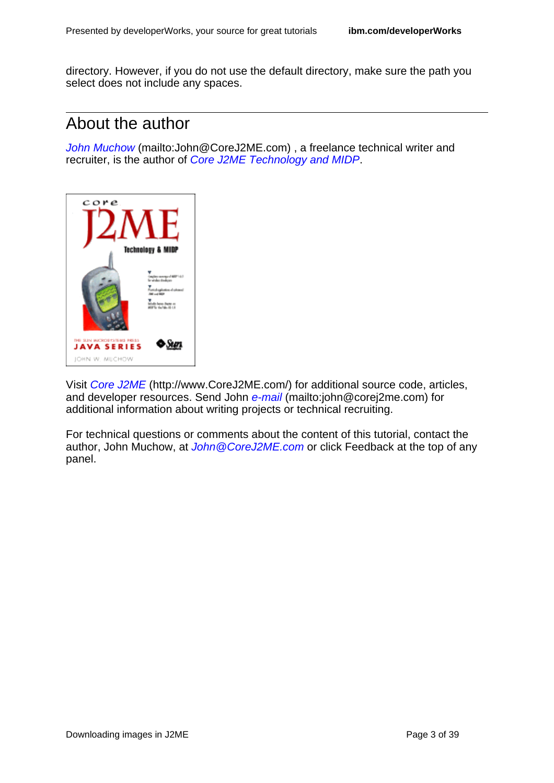directory. However, if you do not use the default directory, make sure the path you select does not include any spaces.

#### About the author

[John Muchow](mailto:John@CoreJ2ME.com) (mailto:John@CoreJ2ME.com), a freelance technical writer and recruiter, is the author of [Core J2ME Technology and MIDP](http://www.amazon.com/exec/obidos/ASIN/0130669113/corej2me-20).



Visit [Core J2ME](http://www.CoreJ2ME.com/) (http://www.CoreJ2ME.com/) for additional source code, articles, and developer resources. Send John [e-mail](mailto:john@corej2me.com) (mailto:john@corej2me.com) for additional information about writing projects or technical recruiting.

For technical questions or comments about the content of this tutorial, contact the author, John Muchow, at John @CoreJ2ME.com or click Feedback at the top of any panel.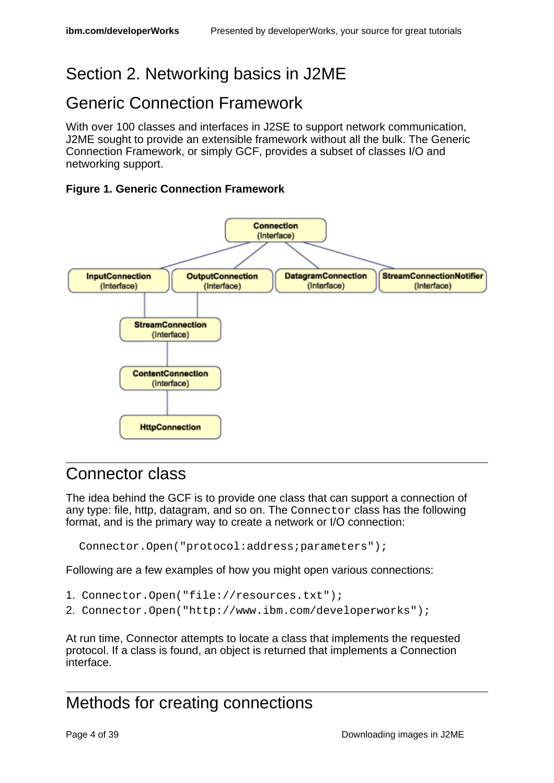# <span id="page-3-0"></span>Section 2. Networking basics in J2ME

### Generic Connection Framework

With over 100 classes and interfaces in J2SE to support network communication, J2ME sought to provide an extensible framework without all the bulk. The Generic Connection Framework, or simply GCF, provides a subset of classes I/O and networking support.

#### **Figure 1. Generic Connection Framework**



#### Connector class

The idea behind the GCF is to provide one class that can support a connection of any type: file, http, datagram, and so on. The Connector class has the following format, and is the primary way to create a network or I/O connection:

Connector.Open("protocol:address;parameters");

Following are a few examples of how you might open various connections:

- 1. Connector.Open("file://resources.txt");
- 2. Connector.Open("http://www.ibm.com/developerworks");

At run time, Connector attempts to locate a class that implements the requested protocol. If a class is found, an object is returned that implements a Connection interface.

### Methods for creating connections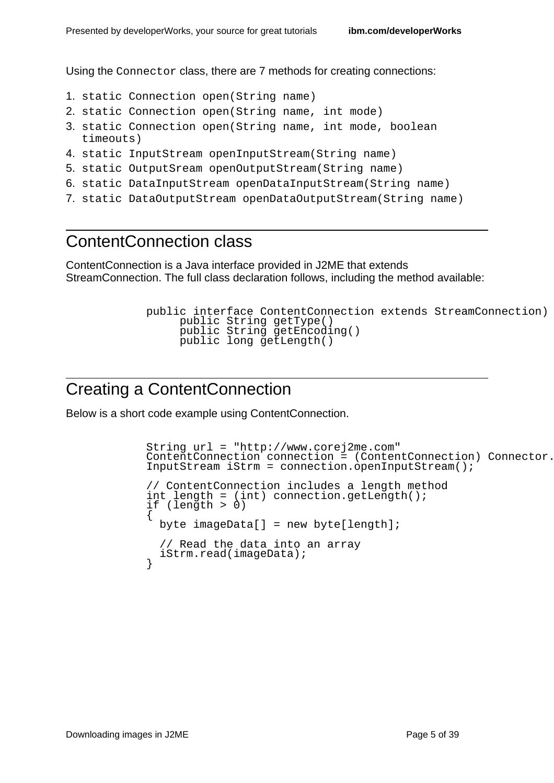Using the Connector class, there are 7 methods for creating connections:

- 1. static Connection open(String name)
- 2. static Connection open(String name, int mode)
- 3. static Connection open(String name, int mode, boolean timeouts)
- 4. static InputStream openInputStream(String name)
- 5. static OutputSream openOutputStream(String name)
- 6. static DataInputStream openDataInputStream(String name)
- 7. static DataOutputStream openDataOutputStream(String name)

### ContentConnection class

ContentConnection is a Java interface provided in J2ME that extends StreamConnection. The full class declaration follows, including the method available:

```
public interface ContentConnection extends StreamConnection)
     public String getType()
     public String getEncoding()
     public long getLength()
```
### Creating a ContentConnection

Below is a short code example using ContentConnection.

```
String url = "http://www.corej2me.com"
\overline{C} contentConnection connection = (ContentConnection) Connector.
InputStream iStrm = connection.openInputStream();
// ContentConnection includes a length method
int length = (int) connection.getLength();
if (length > 0)
{
 byte imageData[] = new byte[length];// Read the data into an array
  iStrm.read(imageData);
}
```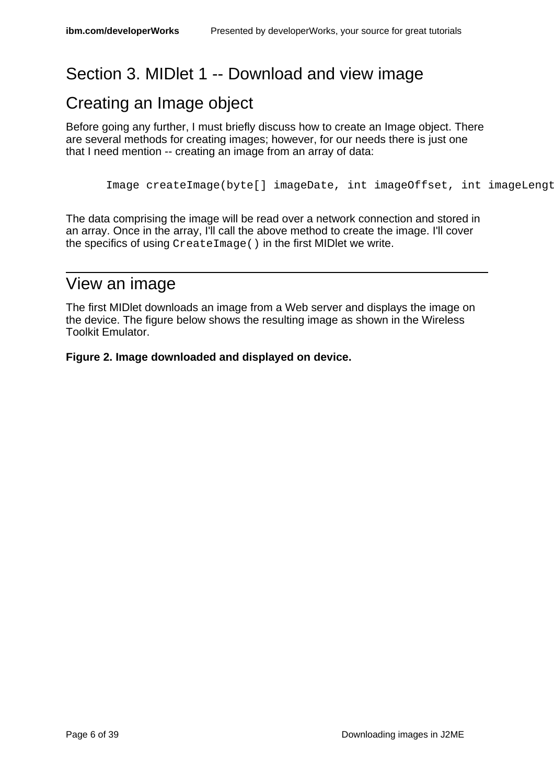# <span id="page-5-0"></span>Section 3. MIDlet 1 -- Download and view image

### Creating an Image object

Before going any further, I must briefly discuss how to create an Image object. There are several methods for creating images; however, for our needs there is just one that I need mention -- creating an image from an array of data:

Image createImage(byte[] imageDate, int imageOffset, int imageLength)

The data comprising the image will be read over a network connection and stored in an array. Once in the array, I'll call the above method to create the image. I'll cover the specifics of using CreateImage() in the first MIDlet we write.

#### View an image

The first MIDlet downloads an image from a Web server and displays the image on the device. The figure below shows the resulting image as shown in the Wireless Toolkit Emulator.

**Figure 2. Image downloaded and displayed on device.**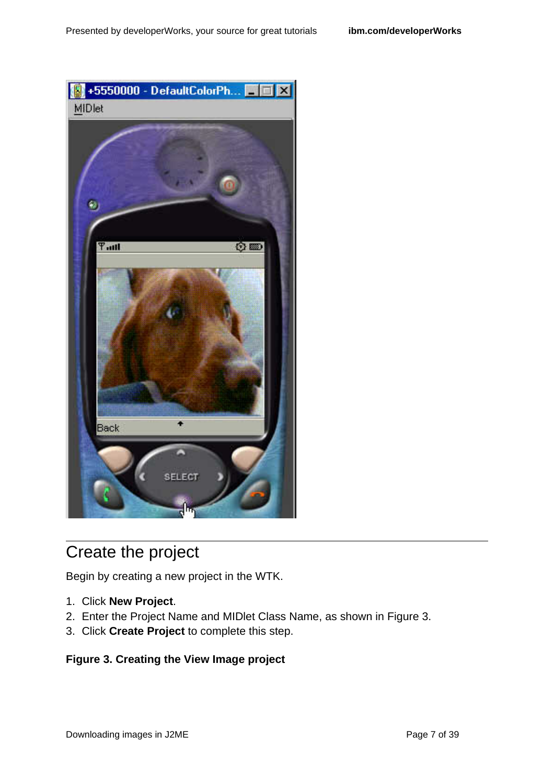

# Create the project

Begin by creating a new project in the WTK.

- 1. Click **New Project**.
- 2. Enter the Project Name and MIDlet Class Name, as shown in Figure 3.
- 3. Click **Create Project** to complete this step.

#### **Figure 3. Creating the View Image project**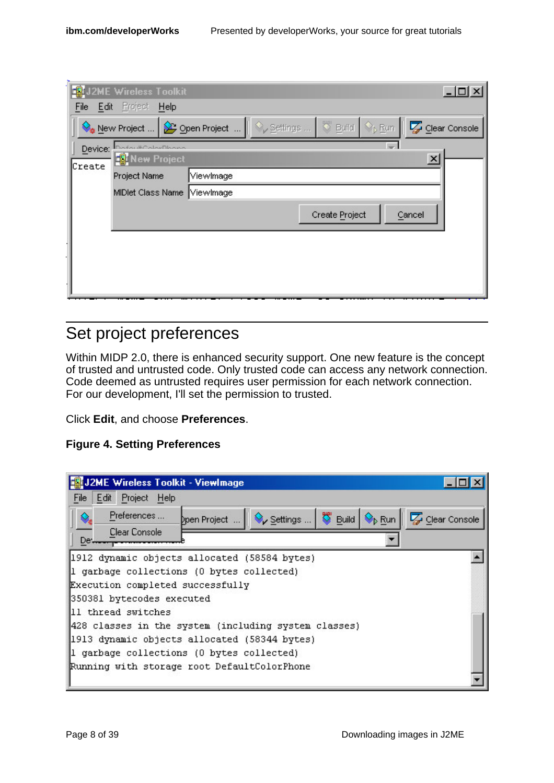|         | <b>K</b> J2ME Wireless Toolkit |           |                                                             |                | $-121 \times$ |
|---------|--------------------------------|-----------|-------------------------------------------------------------|----------------|---------------|
| File    | Edit Project<br>Help           |           |                                                             |                |               |
|         | New Project                    |           | Open Project     V Settings    V Build   V <sub>I</sub> Run |                | Clear Console |
| Device: | DofaultCalarDhana              |           |                                                             |                |               |
| Create  | New Project                    |           |                                                             |                | $\times$      |
|         | Project Name                   | ViewImage |                                                             |                |               |
|         | MIDlet Class Name ViewImage    |           |                                                             |                |               |
|         |                                |           |                                                             | Create Project | Cancel        |
|         |                                |           |                                                             |                |               |
|         |                                |           |                                                             |                |               |
|         |                                |           |                                                             |                |               |
|         |                                |           |                                                             |                |               |
|         |                                |           |                                                             |                |               |

### Set project preferences

Within MIDP 2.0, there is enhanced security support. One new feature is the concept of trusted and untrusted code. Only trusted code can access any network connection. Code deemed as untrusted requires user permission for each network connection. For our development, I'll set the permission to trusted.

Click **Edit**, and choose **Preferences**.

#### **Figure 4. Setting Preferences**

| J2ME Wireless Toolkit - ViewImage                                                                                                                                                                                                               |               |
|-------------------------------------------------------------------------------------------------------------------------------------------------------------------------------------------------------------------------------------------------|---------------|
| Edit Project Help<br>File                                                                                                                                                                                                                       |               |
| Preferences<br>$\mathsf{Open\, Project}$ $\ \diamondsuit\!\!\!\diamondsuit\!\!\!\nearrow$ Settings $\ \heartsuit\!\!\!\diamond\!\!\!\nearrow\!\!\!\geq$ Build $\ \diamondsuit\!\!\!\diamond\!\!\!\triangleright\mathsf{Run}\ $<br>Clear Console | Clear Console |
| De.                                                                                                                                                                                                                                             |               |
| 1912 dynamic objects allocated (58584 bytes)                                                                                                                                                                                                    |               |
| 1 garbage collections (0 bytes collected)                                                                                                                                                                                                       |               |
| Execution completed successfully                                                                                                                                                                                                                |               |
| 350381 bytecodes executed                                                                                                                                                                                                                       |               |
| 11 thread switches                                                                                                                                                                                                                              |               |
| 428 classes in the system (including system classes)                                                                                                                                                                                            |               |
| 1913 dynamic objects allocated (58344 bytes)                                                                                                                                                                                                    |               |
| 1 garbage collections (0 bytes collected)                                                                                                                                                                                                       |               |
| Running with storage root DefaultColorPhone                                                                                                                                                                                                     |               |
|                                                                                                                                                                                                                                                 |               |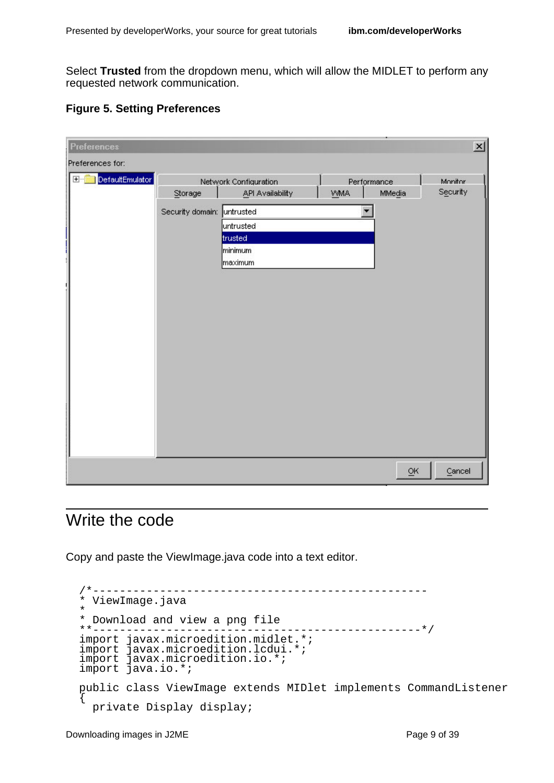Select **Trusted** from the dropdown menu, which will allow the MIDLET to perform any requested network communication.

|  |  |  | <b>Figure 5. Setting Preferences</b> |
|--|--|--|--------------------------------------|
|--|--|--|--------------------------------------|

| DefaultEmulator<br>$\overline{+}$<br>Monitor<br>Network Configuration<br>Performance<br>Security<br><b>VVMA</b><br>Storage<br>API Availability<br>MMedia<br>Security domain: untrusted<br>▼<br>untrusted<br>trusted<br>minimum<br>maximum | <b>Preferences</b> |  |    | $\overline{\mathbf{x}}$ |
|-------------------------------------------------------------------------------------------------------------------------------------------------------------------------------------------------------------------------------------------|--------------------|--|----|-------------------------|
|                                                                                                                                                                                                                                           | Preferences for:   |  |    |                         |
|                                                                                                                                                                                                                                           |                    |  |    |                         |
|                                                                                                                                                                                                                                           |                    |  | ōĸ | Cancel                  |

#### Write the code

Copy and paste the ViewImage.java code into a text editor.

```
/*--------------------------------------------------
* ViewImage.java
*
* Download and view a png file<br>**----------------------------
                          **-------------------------------------------------*/
import javax.microedition.midlet.*;
import javax.microedition.lcdui.*;
import javax.microedition.io.*;
import java.io.*;
public class ViewImage extends MIDlet implements CommandListener
{
  private Display display;
```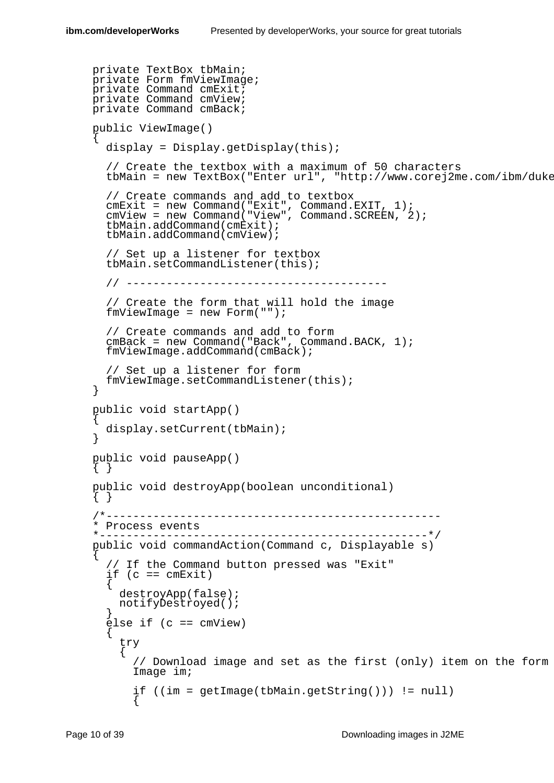```
private TextBox tbMain;
private Form fmViewImage;
private Command cmExit;
private Command cmView;
private Command cmBack;
public ViewImage()
{
  display = Display.getDisplay(this);
  // Create the textbox with a maximum of 50 characters
  tbMain = new TextBox("Enter url", "http://www.corej2me.com/ibm/duke
  // Create commands and add to textbox
  cmExit = new Command("Exit", Command.EXIT, 1);
  cmView = new Command("View", Command.SCREEN, 2);
  tbMain.addCommand(cmExit);
  tbMain.addCommand(cmView);
  // Set up a listener for textbox
  tbMain.setCommandListener(this);
  // ---------------------------------------
  // Create the form that will hold the image
  fmViewImage = new Form("");
  // Create commands and add to form
  cmBack = new Command("Back", Command.BACK, 1);
  fmViewImage.addCommand(cmBack);
  // Set up a listener for form
  fmViewImage.setCommandListener(this);
}
public void startApp()
{
  display.setCurrent(tbMain);
}
public void pauseApp()
{ }
public void destroyApp(boolean unconditional)
{ }
/*--------------------------------------------------
* Process events
*-------------------------------------------------*/
public void commandAction(Command c, Displayable s)
{
  // If the Command button pressed was "Exit"
  if (c == cmExit){
    destroyApp(false);
    notifyDestroyed();
  }
  else if (c == cmView){
    try
    {
      // Download image and set as the first (only) item on the form
      Image im;
      if ((im = getImage(tbMain.getString())) != null)
      {
```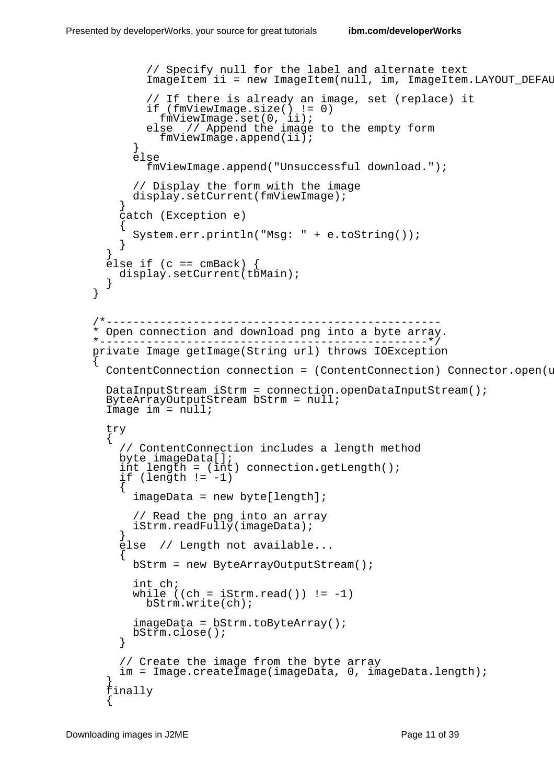```
// Specify null for the label and alternate text
        ImageItem ii = new ImageItem(null, im, ImageItem.LAYOUT DEFAU
        // If there is already an image, set (replace) it
        if (fmViewImage.size() != 0)
          fmViewImage.set(0, ii);
        else // Append the image to the empty form
          fmViewImage.append(ii);
      }
      else
        fmViewImage.append("Unsuccessful download.");
      // Display the form with the image
      display.setCurrent(fmViewImage);
    }
    catch (Exception e)
    \{System.err.println("Msg: " + e.toString());
    }
  }
  \text{else if } (c == cmBack)display.setCurrent(tbMain);
  }
}
                       /*--------------------------------------------------
* Open connection and download png into a byte array.
   *-------------------------------------------------*/
private Image getImage(String url) throws IOException
{
  ContentConnection connection = (ContentConnection) Connector.open(uDataInputStream iStrm = connection.openDataInputStream();
  ByteArrayOutputStream bStrm = null;
  Image im = null;
  try
  \{// ContentConnection includes a length method
    byte imageData[];
    int length = (int) connection.getLength();
    if (length != -1)
    {
      imageData = new byte[length];// Read the png into an array
      iStrm.readFully(imageData);
    }
    else // Length not available...
    {
      bStrm = new ByteArrayOutputStream();
      int ch;
      while ((ch = iStrm.read()) != -1)bStrm.write(ch);
      imageData = bStrm.toByteArray();
      bStrm.close();
    }
    // Create the image from the byte array
    im = Image.createImage(imageData, 0, imageData.length);
  }
  finally
  {
```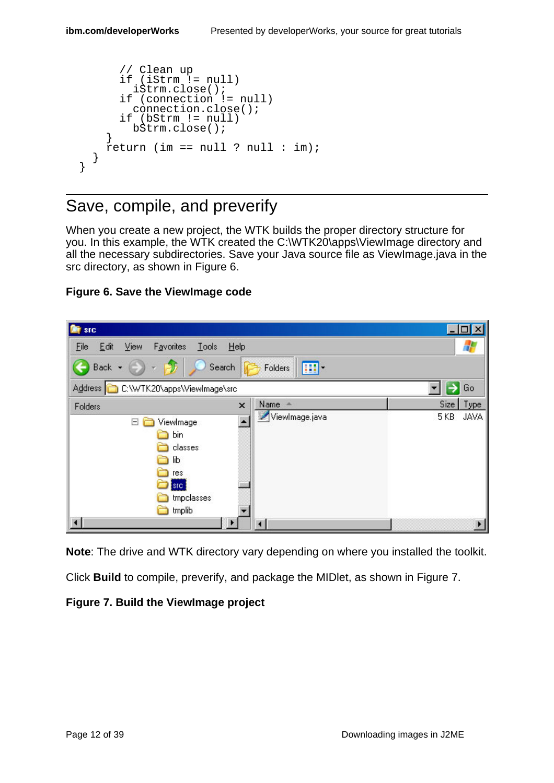```
// Clean up
      if (iStrm != null)
        iStrm.close();
      if (connection != null)
        connection.close();
      if (bStrm != null)
        bStrm.close();
    }
    r return (im == null ? null : im);
  }
}
```
### Save, compile, and preverify

When you create a new project, the WTK builds the proper directory structure for you. In this example, the WTK created the C:\WTK20\apps\ViewImage directory and all the necessary subdirectories. Save your Java source file as ViewImage.java in the src directory, as shown in Figure 6.

#### **Figure 6. Save the ViewImage code**



**Note**: The drive and WTK directory vary depending on where you installed the toolkit.

Click **Build** to compile, preverify, and package the MIDlet, as shown in Figure 7.

#### **Figure 7. Build the ViewImage project**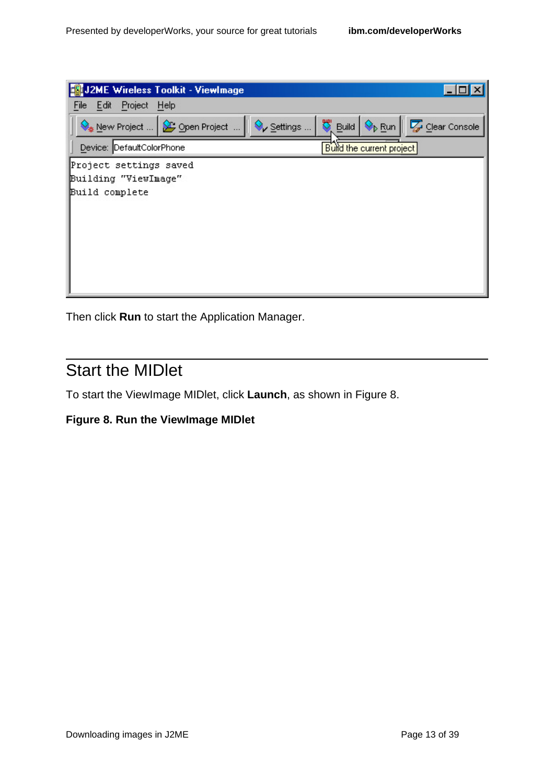Then click **Run** to start the Application Manager.

# Start the MIDlet

To start the ViewImage MIDlet, click **Launch**, as shown in Figure 8.

#### **Figure 8. Run the ViewImage MIDlet**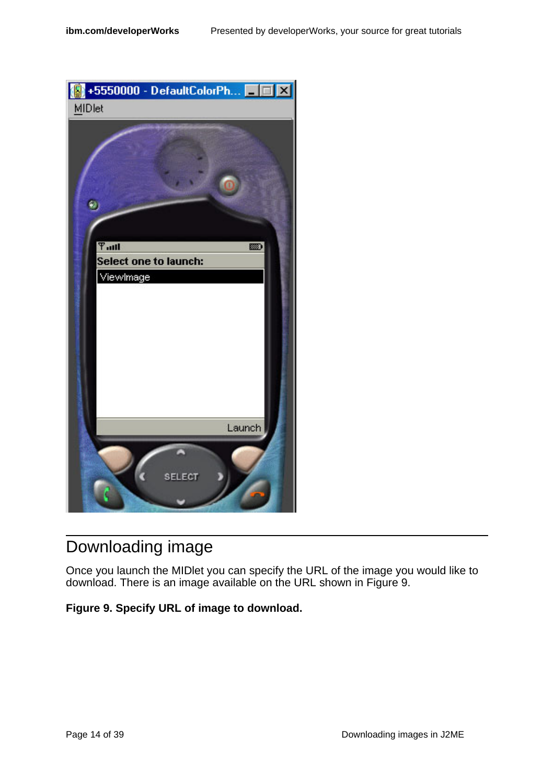

# Downloading image

Once you launch the MIDlet you can specify the URL of the image you would like to download. There is an image available on the URL shown in Figure 9.

#### **Figure 9. Specify URL of image to download.**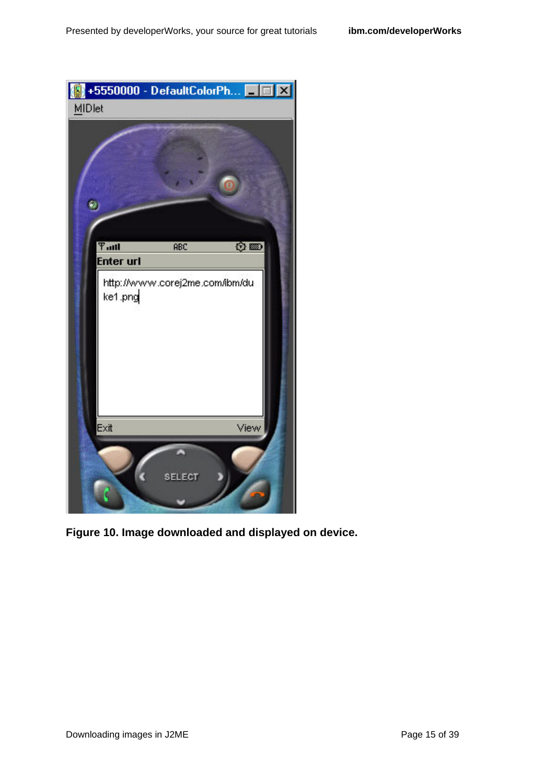

**Figure 10. Image downloaded and displayed on device.**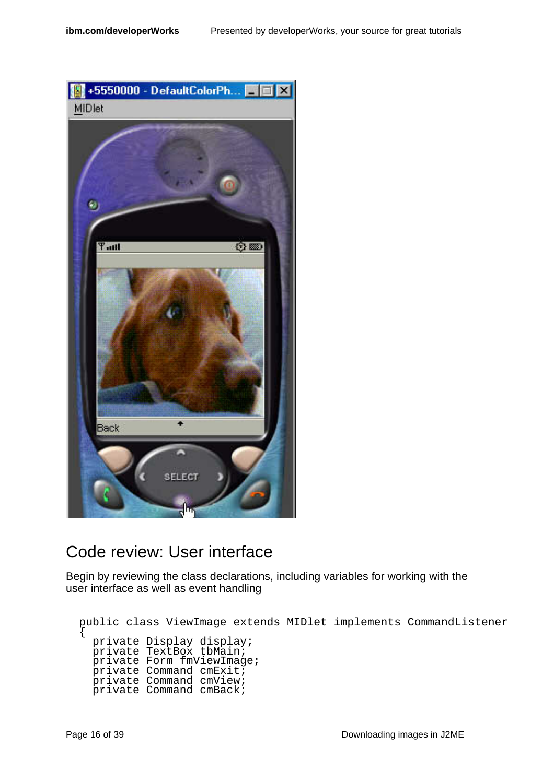

### Code review: User interface

Begin by reviewing the class declarations, including variables for working with the user interface as well as event handling

```
public class ViewImage extends MIDlet implements CommandListener
{
  private Display display;
  private TextBox tbMain;
  .<br>private Form fmViewImage;
 private Command cmExit;
 private Command cmView;
 private Command cmBack;
```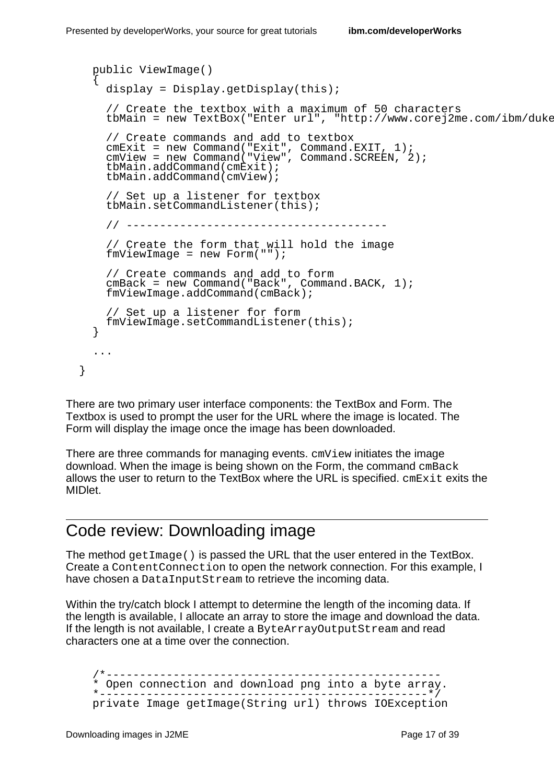```
public ViewImage()
{
 display = Display.getDisplay(this);
  // Create the textbox with a maximum of 50 characters
 tbMain = new TextBox("Enter url", "http://www.corej2me.com/ibm/duke
 // Create commands and add to textbox
  cmExit = new Command("Exit", Command.EXIT, 1);
  cmView = new Command("View", Command.SCREEN, 2);
 tbMain.addCommand(cmExit);
 tbMain.addCommand(cmView);
 // Set up a listener for textbox
 tbMain.setCommandListener(this);
 // ---------------------------------------
  // Create the form that will hold the image
  fmViewImage = new Form("");
  // Create commands and add to form
  cmBack = new Command("Back", Command.BACK, 1);
 fmViewImage.addCommand(cmBack);
  // Set up a listener for form
 fmViewImage.setCommandListener(this);
}
...
```
There are two primary user interface components: the TextBox and Form. The Textbox is used to prompt the user for the URL where the image is located. The Form will display the image once the image has been downloaded.

There are three commands for managing events.  $cmV$  iew initiates the image download. When the image is being shown on the Form, the command cmBack allows the user to return to the TextBox where the URL is specified. cmExit exits the MIDlet.

### Code review: Downloading image

The method getImage() is passed the URL that the user entered in the TextBox. Create a ContentConnection to open the network connection. For this example, I have chosen a DataInputStream to retrieve the incoming data.

Within the try/catch block I attempt to determine the length of the incoming data. If the length is available, I allocate an array to store the image and download the data. If the length is not available, I create a ByteArrayOutputStream and read characters one at a time over the connection.

/\*-------------------------------------------------- \* Open connection and download png into a byte array. \*-------------------------------------------------\*/ private Image getImage(String url) throws IOException

}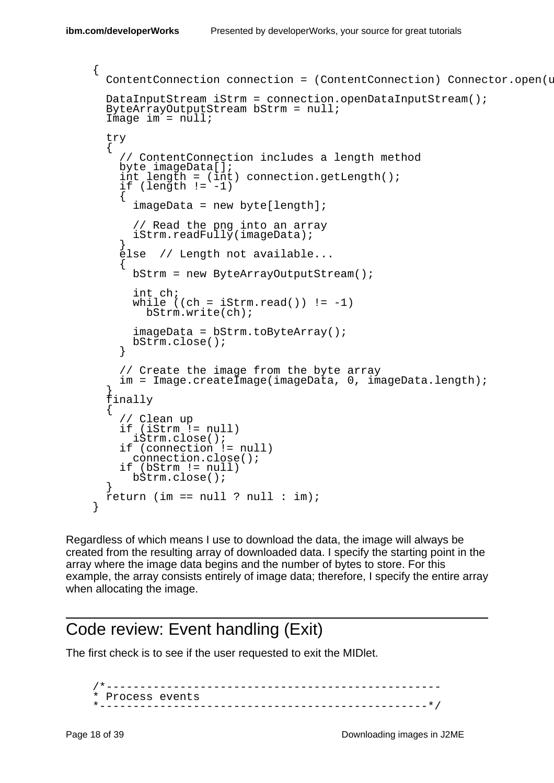```
{
 ContentConnection connection = (ContentConnection) Connector.open(u
 DataInputStream iStrm = connection.openDataInputStream();
 ByteArrayOutputStream bStrm = null;
 Image im = null;
 try
  \{// ContentConnection includes a length method
   byte imageData[];
    int length = (int) connection.getLength();
    if (length != -1)
    {
      imageData = new byte[length];// Read the png into an array
      iStrm.readFully(imageData);
    }
    else // Length not available...
    {
     bStrm = new ByteArrayOutputStream();
      int ch;
     while ((ch = iStrm.read()) != -1)bStrm.write(ch);
      imageData = bStrm.toByteArray();
     bStrm.close();
    }
    // Create the image from the byte array
    im = Image.createImage(imageData, 0, imageData.length);
  }
  finally
  {
    // Clean up
    if (iStrm != null)
     iStrm.close();
    if (connection != null)
     connection.close();
    if (bStrm != null)
     bStrm.close();
  }
 return (im == null ? null : im);
```
Regardless of which means I use to download the data, the image will always be created from the resulting array of downloaded data. I specify the starting point in the array where the image data begins and the number of bytes to store. For this example, the array consists entirely of image data; therefore, I specify the entire array when allocating the image.

#### Code review: Event handling (Exit)

The first check is to see if the user requested to exit the MIDlet.

/\*-------------------------------------------------- \* Process events \*-------------------------------------------------\*/

}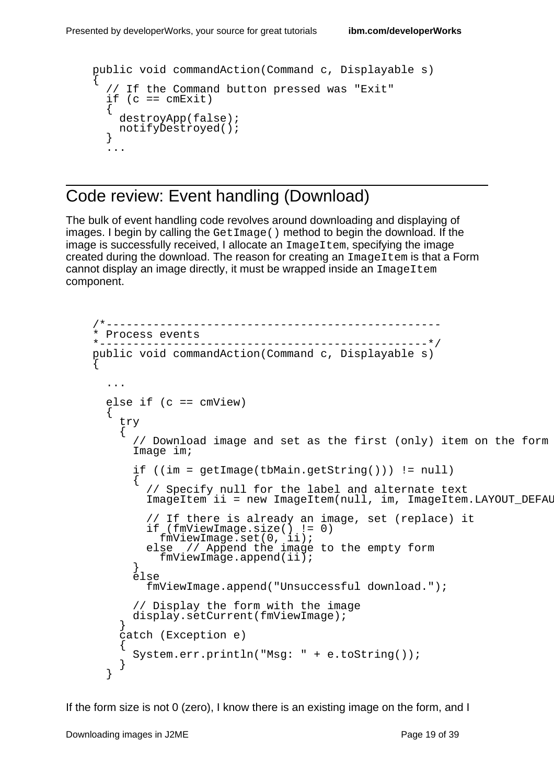```
public void commandAction(Command c, Displayable s)
{
  // If the Command button pressed was "Exit"
 if (c == cmExit){
   destroyApp(false);
   notifyDestroyed();
  }
  ...
```
### Code review: Event handling (Download)

The bulk of event handling code revolves around downloading and displaying of images. I begin by calling the GetImage() method to begin the download. If the image is successfully received, I allocate an  $ImageItem$ , specifying the image created during the download. The reason for creating an ImageItem is that a Form cannot display an image directly, it must be wrapped inside an ImageItem component.

```
/*--------------------------------------------------
* Process events
                         *-------------------------------------------------*/
public void commandAction(Command c, Displayable s)
{
  ...
  else if (c == cmView){
    try
    {
      // Download image and set as the first (only) item on the form
      Image im;
      if ((im = getImage(tbMain.getString())) != null)
      {
        // Specify null for the label and alternate text
        ImageItem ii = new ImageItem(null, im, ImageItem.LAYOUT_DEFAU
        // If there is already an image, set (replace) it
        if (fmViewImage.size() != 0)
          fmViewImage.set(0, ii);
        else // Append the image to the empty form
          fmViewImage.append(ii);
      }
      else
        fmViewImage.append("Unsuccessful download.");
      // Display the form with the image
      display.setCurrent(fmViewImage);
    }
    catch (Exception e)
    {
      System.err.println("Msg: " + e.toString());
    }
  }
```
If the form size is not 0 (zero), I know there is an existing image on the form, and I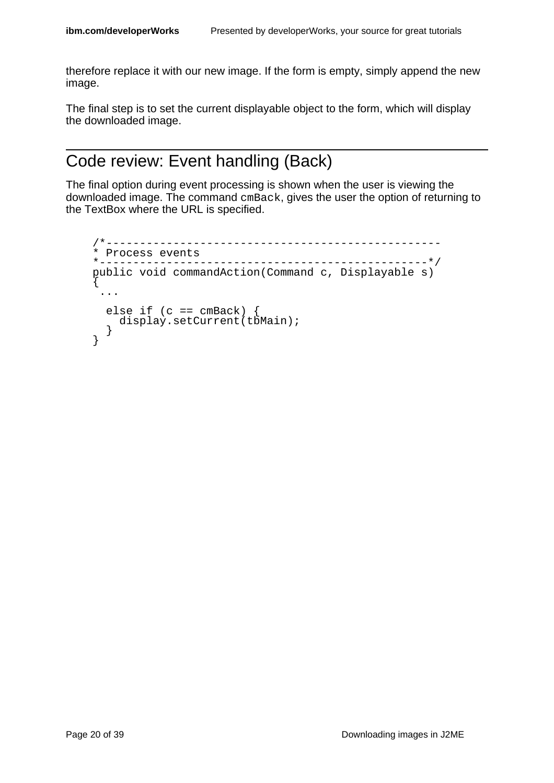therefore replace it with our new image. If the form is empty, simply append the new image.

The final step is to set the current displayable object to the form, which will display the downloaded image.

### Code review: Event handling (Back)

The final option during event processing is shown when the user is viewing the downloaded image. The command cmBack, gives the user the option of returning to the TextBox where the URL is specified.

```
/*--------------------------------------------------
* Process events<br>*-----------------
       *-------------------------------------------------*/
public void commandAction(Command c, Displayable s)
{
 ...
  else if (c == cmBack) {
   display.setCurrent(tbMain);
  }
}
```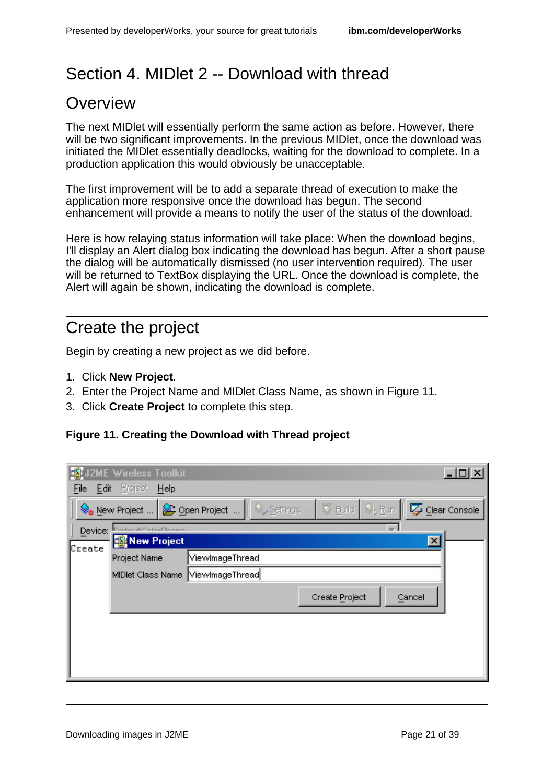# <span id="page-20-0"></span>Section 4. MIDlet 2 -- Download with thread

### **Overview**

The next MIDlet will essentially perform the same action as before. However, there will be two significant improvements. In the previous MIDlet, once the download was initiated the MIDlet essentially deadlocks, waiting for the download to complete. In a production application this would obviously be unacceptable.

The first improvement will be to add a separate thread of execution to make the application more responsive once the download has begun. The second enhancement will provide a means to notify the user of the status of the download.

Here is how relaying status information will take place: When the download begins, I'll display an Alert dialog box indicating the download has begun. After a short pause the dialog will be automatically dismissed (no user intervention required). The user will be returned to TextBox displaying the URL. Once the download is complete, the Alert will again be shown, indicating the download is complete.

# Create the project

Begin by creating a new project as we did before.

- 1. Click **New Project**.
- 2. Enter the Project Name and MIDlet Class Name, as shown in Figure 11.
- 3. Click **Create Project** to complete this step.

#### **Figure 11. Creating the Download with Thread project**

|              | <b>S</b> J2ME Wireless Toolkit    |                 |                          |                                          |                 | $ \Box$ $\times$ |
|--------------|-----------------------------------|-----------------|--------------------------|------------------------------------------|-----------------|------------------|
| File<br>Edit | Project<br>Help                   |                 |                          |                                          |                 |                  |
|              | New Project                       |                 | Open Project    Settings | <b>Build</b> $\Diamond_{\mathsf{p}}$ Run |                 | Clear Console    |
| Device:      | information Division              |                 |                          |                                          |                 |                  |
| Create       | New Project                       |                 |                          |                                          | $\vert x \vert$ |                  |
|              | Project Name                      | ViewlmageThread |                          |                                          |                 |                  |
|              | MIDlet Class Name ViewImageThread |                 |                          |                                          |                 |                  |
|              |                                   |                 |                          | Create Project                           | Cancel          |                  |
|              |                                   |                 |                          |                                          |                 |                  |
|              |                                   |                 |                          |                                          |                 |                  |
|              |                                   |                 |                          |                                          |                 |                  |
|              |                                   |                 |                          |                                          |                 |                  |
|              |                                   |                 |                          |                                          |                 |                  |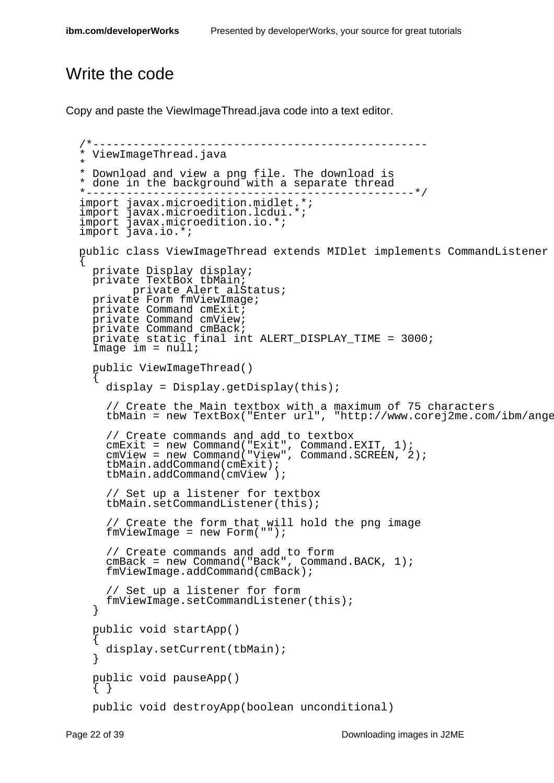# Write the code

Copy and paste the ViewImageThread.java code into a text editor.

```
/*--------------------------------------------------
* ViewImageThread.java
*
* Download and view a png file. The download is
* done in the background with a separate thread
 *-------------------------------------------------*/
import javax.microedition.midlet.*;
import javax.microedition.lcdui.*;
import javax.microedition.io.*;
import java.io.*;
public class ViewImageThread extends MIDlet implements CommandListener
{
  private Display display;
  private TextBox tbMain;
        private Alert alStatus;
 private Form fmViewImage;
 private Command cmExit;
 private Command cmView;
  private Command cmBack;
  private static final int ALERT_DISPLAY_TIME = 3000;
  Image im = null;
  public ViewImageThread()
  {
    display = Display.getDisplay(this);
    // Create the Main textbox with a maximum of 75 characters
    tbMain = new TextBox("Enter url", "http://www.corej2me.com/ibm/ange
    // Create commands and add to textbox
    cmExit = new Command("Exit", Command.EXIT, 1);
    cmView = new Command("View", Command.SCREEN, 2);
    tbMain.addCommand(cmExit);
    tbMain.addCommand(cmView );
    // Set up a listener for textbox
    tbMain.setCommandListener(this);
    // Create the form that will hold the png image
    fmViewImage = new Form("");
    // Create commands and add to form
    cmBack = new Command("Back", Command.BACK, 1);
    fmViewImage.addCommand(cmBack);
    // Set up a listener for form
    fmViewImage.setCommandListener(this);
  }
  public void startApp()
  {
    display.setCurrent(tbMain);
  }
  public void pauseApp()
  { }
  public void destroyApp(boolean unconditional)
```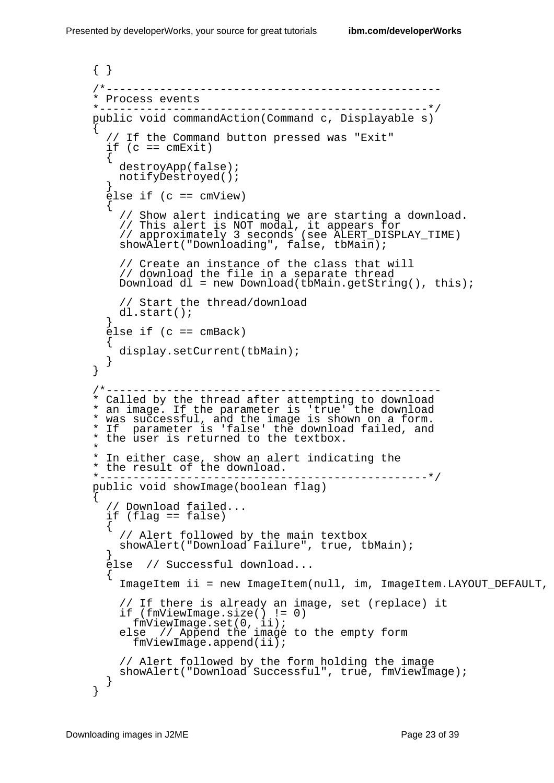```
{ }
/*--------------------------------------------------
* Process events
*-------------------------------------------------*/
public void commandAction(Command c, Displayable s)
{
  // If the Command button pressed was "Exit"
  if (c == cmExit)\{destroyApp(false);
    notifyDestroyed();
  }
  \text{else if } (c == cmView){
    // Show alert indicating we are starting a download.
    // This alert is NOT modal, it appears for
    // approximately 3 seconds (see ALERT_DISPLAY_TIME)
    showAlert("Downloading", false, tbMain);
    // Create an instance of the class that will
    // download the file in a separate thread
    Download dl = new Download(tbMain.getString(), this);
    // Start the thread/download
    dl.start();
  }
  else if (c == cmBack)
  {
    display.setCurrent(tbMain);
  }
}
                           /*--------------------------------------------------
* Called by the thread after attempting to download
* an image. If the parameter is 'true' the download
* was successful, and the image is shown on a form.
* If parameter is 'false' the download failed, and
* the user is returned to the textbox.
*
* In either case, show an alert indicating the
* the result of the download.
                *-------------------------------------------------*/
public void showImage(boolean flag)
{
    // Download failed...
  if (flag == false)
  {
    // Alert followed by the main textbox
    showAlert("Download Failure", true, tbMain);
  }
  else // Successful download...
  \{ImageItem ii = new ImageItem(null, im, ImageItem.LAYOUT_DEFAULT,
    // If there is already an image, set (replace) it
    if (fmViewImage.size() != 0)
      fmViewImage.set(0, ii);
    else // Append the image to the empty form
      fmViewImage.append(ii);
    // Alert followed by the form holding the image
    showAlert("Download Successful", true, fmViewImage);
  }
}
```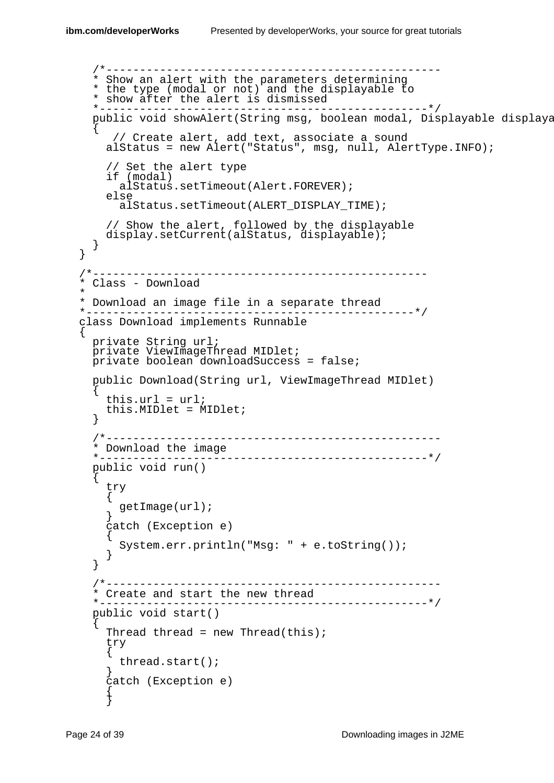\*

```
/*--------------------------------------------------
  * Show an alert with the parameters determining
  * the type (modal or not) and the displayable to
  * show after the alert is dismissed
                 *-------------------------------------------------*/
 public void showAlert(String msg, boolean modal, Displayable displaya
  {
     // Create alert, add text, associate a sound
    alStatus = new Alert("Status", msg, null, AlertType.INFO);
    // Set the alert type
    if (modal)
      alStatus.setTimeout(Alert.FOREVER);
    else
      alStatus.setTimeout(ALERT_DISPLAY_TIME);
    // Show the alert, followed by the displayable
   display.setCurrent(alStatus, displayable);
  }
}
                 /*--------------------------------------------------
 Class - Download
* Download an image file in a separate thread
                                              -------* /
class Download implements Runnable
{
 private String url;
 private ViewImageThread MIDlet;
 private boolean downloadSuccess = false;
  public Download(String url, ViewImageThread MIDlet)
  {
    this.url = url;
    this.MIDlet = MIDlet;
  }
  /*--------------------------------------------------
  * Download the image
  *-------------------------------------------------*/
 public void run()
  {
    try
    {
      getImage(url);
    }
    catch (Exception e)
    {
      System.err.println("Msg: " + e.toString());
    }
  }
  /*--------------------------------------------------
  * Create and start the new thread
  *-------------------------------------------------*/
  public void start()
  {
    Thread thread = new Thread(this);
    try
    {
     thread.start();
    }
    catch (Exception e)
    {
    }
```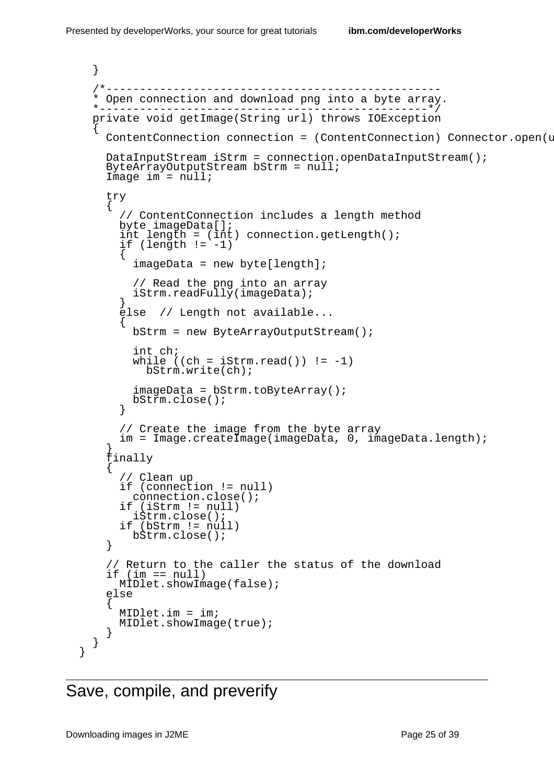```
}
/*--------------------------------------------------
* Open connection and download png into a byte array.
   *-------------------------------------------------*/
private void getImage(String url) throws IOException
{
  ContentConnection connection = (ContentConnection) Connector.open(u
 DataInputStream iStrm = connection.openDataInputStream();
  ByteArrayOutputStream bStrm = null;
  Image im = null;
  try
  {
    // ContentConnection includes a length method
    byte imageData[];
    int length = (int) connection.getLength();
    if (length != -1)
    {
      imageData = new byte[length];// Read the png into an array
      iStrm.readFully(imageData);
    }
    else // Length not available...
    {
      bStrm = new ByteArrayOutputStream();
      int ch;
      while ((ch = iStrm.read()) := -1)bStrm.write(ch);
      imageData = bStrm.toByteArray();
      bStrm.close();
    }
    // Create the image from the byte array
    im = Image.createImage(imageData, 0, imageData.length);
  }
  finally
  {
    // Clean up
    if (connection != null)
     connection.close();
    if (iStrm != null)
      iStrm.close();
    if (bStrm != null)
     bStrm.close();
  }
  // Return to the caller the status of the download
  if (im == null)MIDlet.showImage(false);
  else
  {
    MIDlet.im = im;
    MIDlet.showImage(true);
  }
}
```

```
Save, compile, and preverify
```
}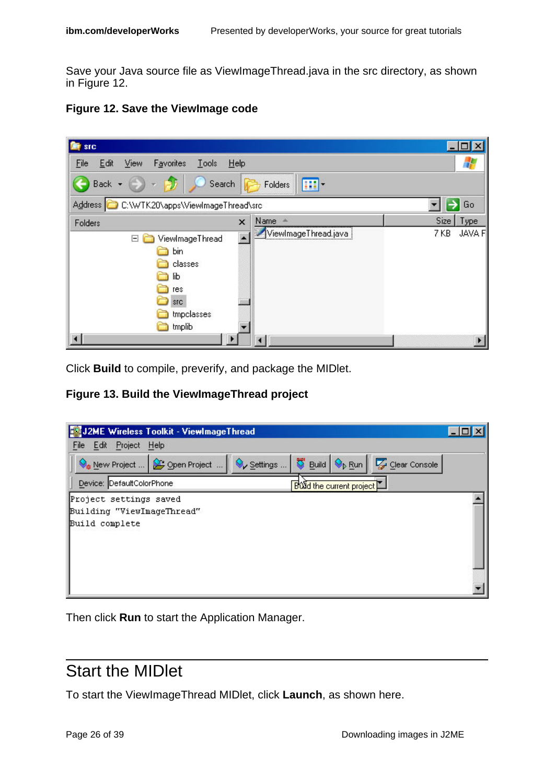Save your Java source file as ViewImageThread.java in the src directory, as shown in Figure 12.

|  |  | <b>Figure 12. Save the ViewImage code</b> |  |
|--|--|-------------------------------------------|--|
|--|--|-------------------------------------------|--|

| src                                                                                        |                           |                       |
|--------------------------------------------------------------------------------------------|---------------------------|-----------------------|
| Edit<br>Favorites<br><b>Tools</b><br>Eile<br>View                                          | Help                      |                       |
| Back -<br>Search                                                                           | $\mathbf{m}$ .<br>Folders |                       |
| Address C C:\WTK20\apps\ViewImageThread\src                                                |                           | Go<br>→               |
| Folders                                                                                    | Name <<br>×               | Size  <br>Type        |
| ViewImageThread<br>Ξ<br>bin<br>classes<br>lib<br>res<br><b>STC</b><br>tmpclasses<br>tmplib | ViewImageThread.java      | <b>JAVA F</b><br>7 KB |
|                                                                                            |                           |                       |

Click **Build** to compile, preverify, and package the MIDlet.

**Figure 13. Build the ViewImageThread project**



Then click **Run** to start the Application Manager.

### Start the MIDlet

To start the ViewImageThread MIDlet, click **Launch**, as shown here.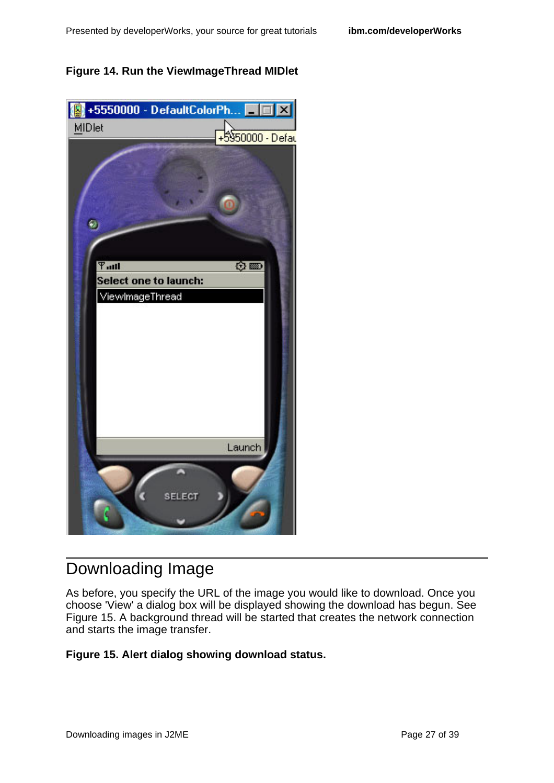#### **Figure 14. Run the ViewImageThread MIDlet**



# Downloading Image

As before, you specify the URL of the image you would like to download. Once you choose 'View' a dialog box will be displayed showing the download has begun. See Figure 15. A background thread will be started that creates the network connection and starts the image transfer.

#### **Figure 15. Alert dialog showing download status.**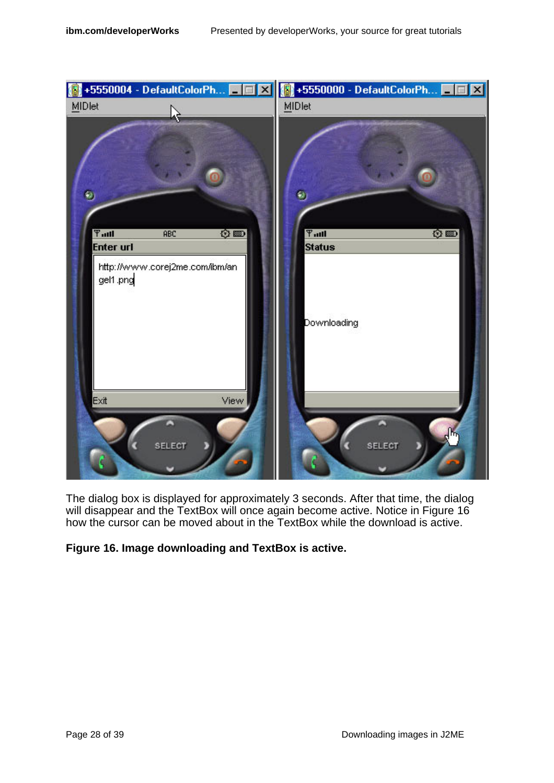

The dialog box is displayed for approximately 3 seconds. After that time, the dialog will disappear and the TextBox will once again become active. Notice in Figure 16 how the cursor can be moved about in the TextBox while the download is active.

#### **Figure 16. Image downloading and TextBox is active.**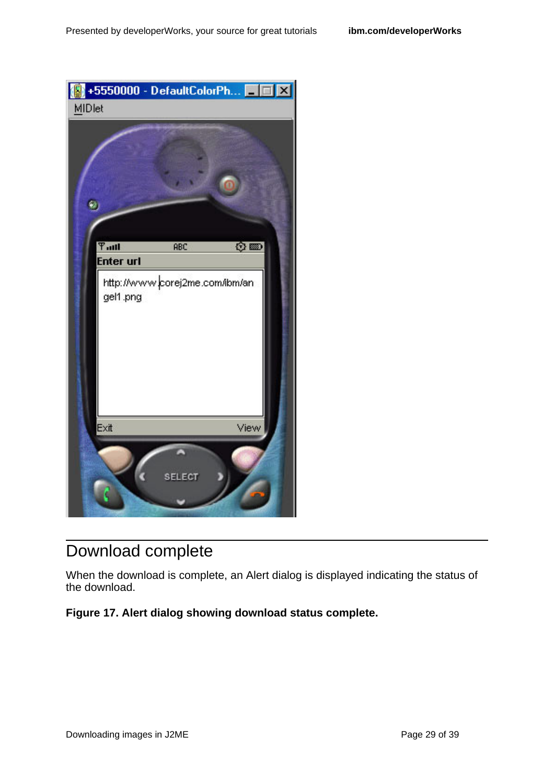

# Download complete

When the download is complete, an Alert dialog is displayed indicating the status of the download.

#### **Figure 17. Alert dialog showing download status complete.**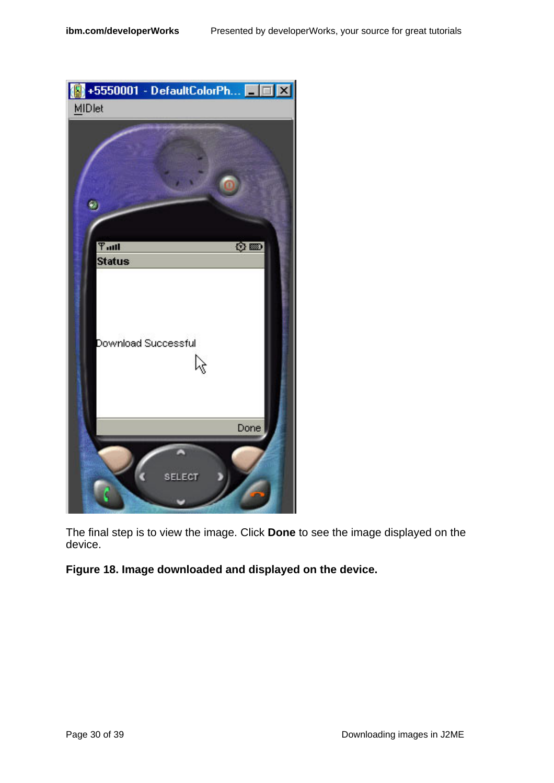

The final step is to view the image. Click **Done** to see the image displayed on the device.

#### **Figure 18. Image downloaded and displayed on the device.**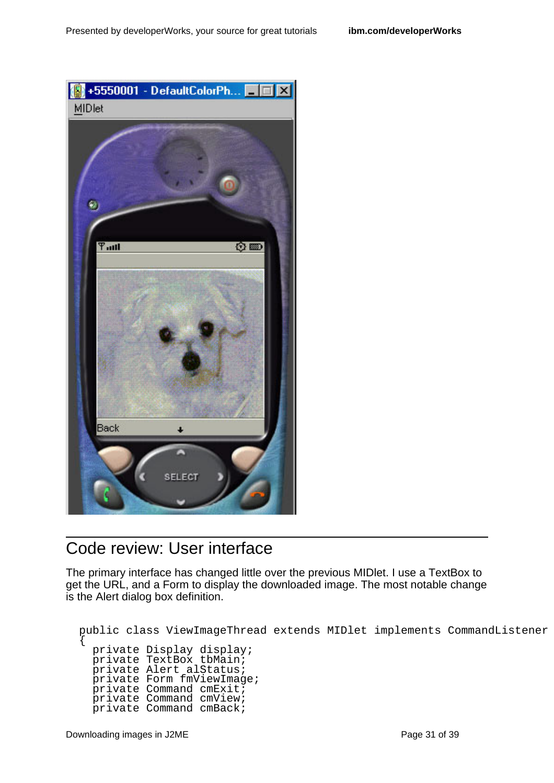

### Code review: User interface

The primary interface has changed little over the previous MIDlet. I use a TextBox to get the URL, and a Form to display the downloaded image. The most notable change is the Alert dialog box definition.

```
public class ViewImageThread extends MIDlet implements CommandListener
{
  private Display display;
  private TextBox tbMain;
 private Alert alStatus;
 private Form fmViewImage;
  private Command cmExit;
  private Command cmView;
  private Command cmBack;
```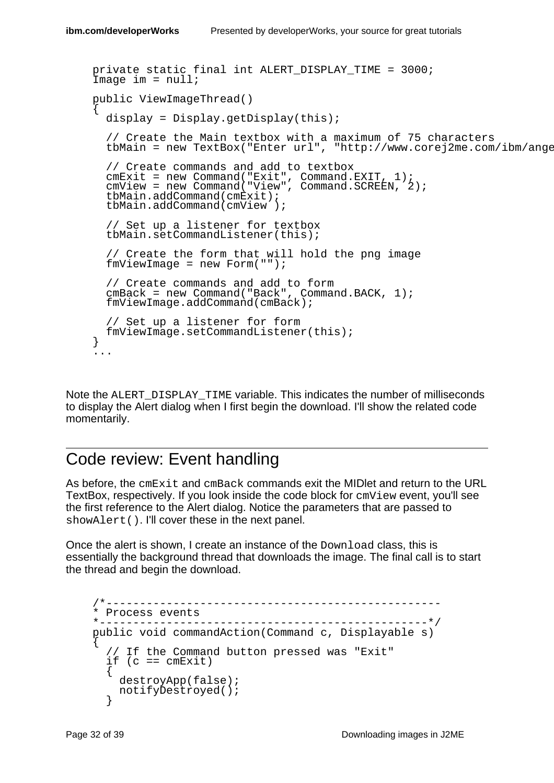```
private static final int ALERT DISPLAY TIME = 3000;
Image im = null;
public ViewImageThread()
{
  display = Display.getDisplay(this);
  // Create the Main textbox with a maximum of 75 characters
  tbMain = new TextBox("Enter url", "http://www.corej2me.com/ibm/ange
  // Create commands and add to textbox
  cmExit = new Command("Exit", Command.EXIT, 1);
  cmView = new Command("View", Command.SCREEN, 2);
  tbMain.addCommand(cmExit);
  tbMain.addCommand(cmView );
  // Set up a listener for textbox
  tbMain.setCommandListener(this);
  // Create the form that will hold the png image
  fmViewImage = new Form("");
  // Create commands and add to form
  cmBack = new Command("Back", Command.BACK, 1);
  fmViewImage.addCommand(cmBack);
  // Set up a listener for form
 fmViewImage.setCommandListener(this);
}
...
```
Note the ALERT\_DISPLAY\_TIME variable. This indicates the number of milliseconds to display the Alert dialog when I first begin the download. I'll show the related code momentarily.

### Code review: Event handling

As before, the cmExit and cmBack commands exit the MIDlet and return to the URL TextBox, respectively. If you look inside the code block for cmView event, you'll see the first reference to the Alert dialog. Notice the parameters that are passed to showAlert(). I'll cover these in the next panel.

Once the alert is shown, I create an instance of the Download class, this is essentially the background thread that downloads the image. The final call is to start the thread and begin the download.

```
/*--------------------------------------------------
* Process events
   *-------------------------------------------------*/
public void commandAction(Command c, Displayable s)
{
    If the Command button pressed was "Exit"
  if (c == cmExit)
  {
    destroyApp(false);
    notifyDestroyed();
  }
```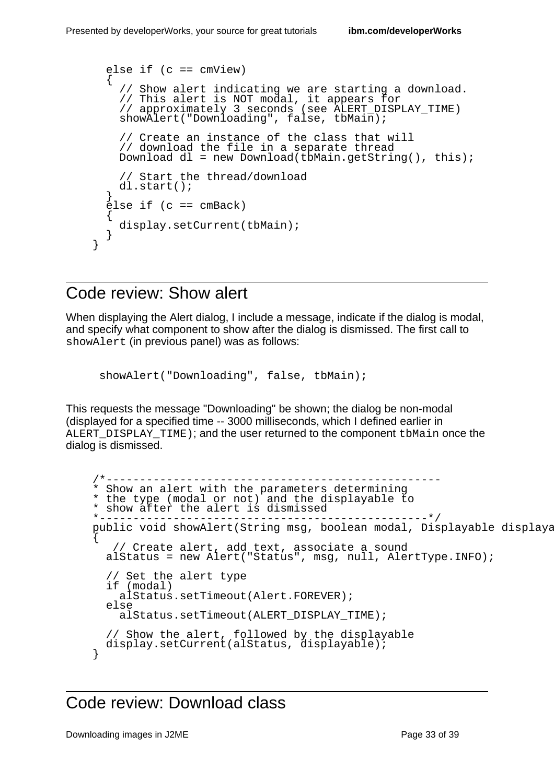```
else if (c == cmView){
  // Show alert indicating we are starting a download.
  // This alert is NOT modal, it appears for
  // approximately 3 seconds (see ALERT_DISPLAY_TIME)
  show \overline{A}lert("Downloading", false, tbMain);
  // Create an instance of the class that will
  // download the file in a separate thread
  Download dl = new Download(tbMain.getString(), this);
  // Start the thread/download
  dl.start();
}
\text{else if } \text{(c == cmBack)}{
  display.setCurrent(tbMain);
}
```
#### Code review: Show alert

}

When displaying the Alert dialog, I include a message, indicate if the dialog is modal, and specify what component to show after the dialog is dismissed. The first call to showAlert (in previous panel) was as follows:

```
showAlert("Downloading", false, tbMain);
```
This requests the message "Downloading" be shown; the dialog be non-modal (displayed for a specified time -- 3000 milliseconds, which I defined earlier in ALERT DISPLAY TIME); and the user returned to the component tbMain once the dialog is dismissed.

```
/*--------------------------------------------------
* Show an alert with the parameters determining
* the type (modal or not) and the displayable to
* show after the alert is dismissed
                                        ----------* /
public void showAlert(String msg, boolean modal, Displayable displaya
{
   // Create alert, add text, associate a sound
  alStatus = new Alert("Status", msg, null, AlertType.INFO);
  // Set the alert type
  if (modal)
   alStatus.setTimeout(Alert.FOREVER);
  else
    alStatus.setTimeout(ALERT_DISPLAY_TIME);
  // Show the alert, followed by the displayable
  display.setCurrent(alStatus, displayable);
}
```
#### Code review: Download class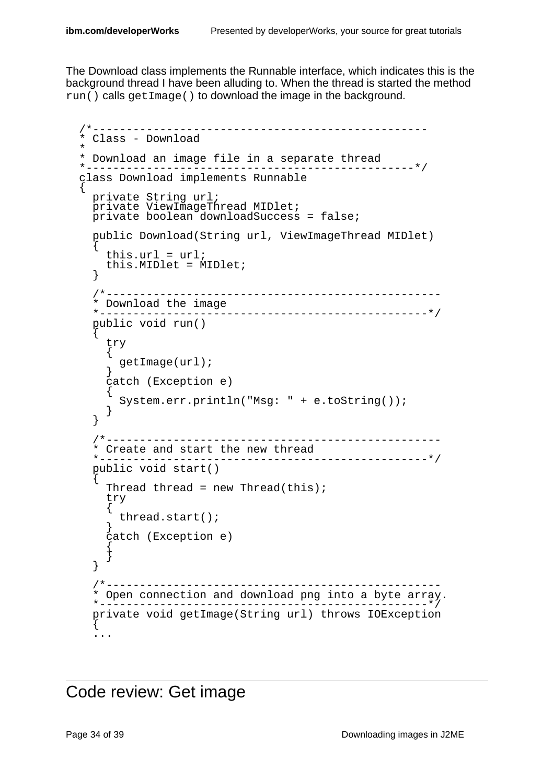The Download class implements the Runnable interface, which indicates this is the background thread I have been alluding to. When the thread is started the method run() calls getImage() to download the image in the background.

```
/*--------------------------------------------------
* Class - Download
*
* Download an image file in a separate thread
*-------------------------------------------------*/
class Download implements Runnable
{
 private String url;
  private ViewImageThread MIDlet;
 private boolean downloadSuccess = false;
  public Download(String url, ViewImageThread MIDlet)
  {
    this.url = url;
    this.MIDlet = MIDlet;
  }
  /*--------------------------------------------------
  * Download the image
       *-------------------------------------------------*/
  public void run()
  {
    try
    {
      getImage(url);
    }
    catch (Exception e)
    {
      System.err.println("Msg: " + e.toString());
    }
  }
   /*--------------------------------------------------
  * Create and start the new thread
                      *-------------------------------------------------*/
  public void start()
  {
    Thread thread = new Thread(this);
    try
    \mathcal{L}thread.start();
    }
    catch (Exception e)
    {
    }
  }
  /*--------------------------------------------------
  * Open connection and download png into a byte array.
  *-------------------------------------------------*/
  private void getImage(String url) throws IOException
  {
  ...
```
Code review: Get image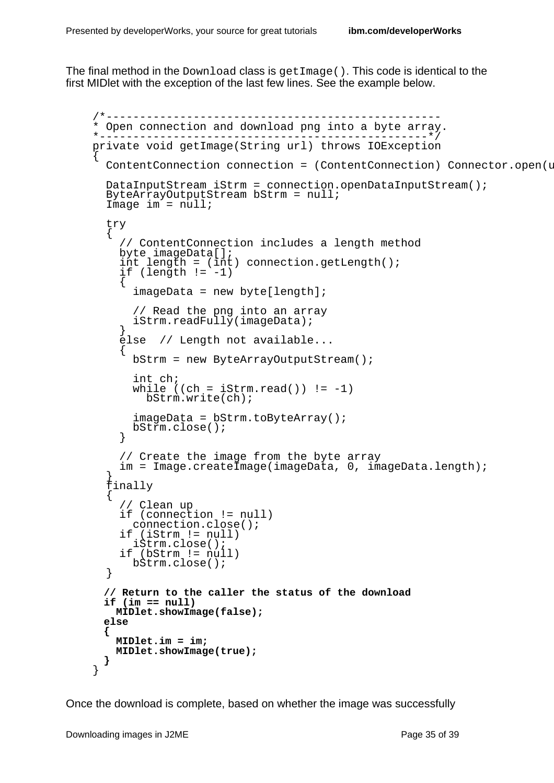The final method in the Download class is get Image(). This code is identical to the first MIDlet with the exception of the last few lines. See the example below.

```
/*--------------------------------------------------
* Open connection and download png into a byte array.
   *-------------------------------------------------*/
private void getImage(String url) throws IOException
{
 ContentConnection connection = (ContentConnection) Connector.open(u
 DataInputStream iStrm = connection.openDataInputStream();
 ByteArrayOutputStream bStrm = null;
 Image im = null;
 try
  {
    // ContentConnection includes a length method
   byte imageData[];
    int length = (int) connection.getLength();
    if (length != -1)
    \{imageData = new byte[length];// Read the png into an array
      iStrm.readFully(imageData);
    }
    else // Length not available...
    \{bStrm = new ByteArrayOutputStream();
      int ch;
      while ((ch = iStrm.read()) != -1)bStrm.write(ch);
      imageData = bStrm.toByteArray();
      bStrm.close();
    }
    // Create the image from the byte array
    im = Image.createImage(imageData, 0, imageData.length);
  }
 finally
  {
     // Clean up
    if (connection != null)
     connection.close();
    if (iStrm != null)
      iStrm.close();
    if (bStrm != null)
     bStrm.close();
  }
 // Return to the caller the status of the download
 if (im == null)
   MIDlet.showImage(false);
 else
 {
   MIDlet.im = im;
   MIDlet.showImage(true);
 }
}
```
Once the download is complete, based on whether the image was successfully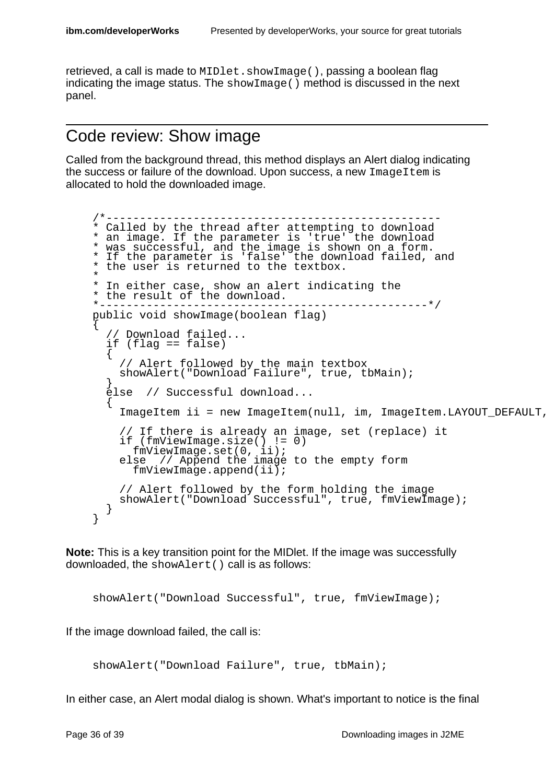retrieved, a call is made to MIDlet.showImage(), passing a boolean flag indicating the image status. The  $\text{showImage}( )$  method is discussed in the next panel.

#### Code review: Show image

Called from the background thread, this method displays an Alert dialog indicating the success or failure of the download. Upon success, a new ImageItem is allocated to hold the downloaded image.

```
/*--------------------------------------------------
* Called by the thread after attempting to download
* an image. If the parameter is 'true' the download
* was successful, and the image is shown on a form.
* If the parameter is 'false' the download failed, and
* the user is returned to the textbox.
*
* In either case, show an alert indicating the
* the result of the download.
                                     ------------* /
public void showImage(boolean flag)
{
  // Download failed...
  if (flag == false)
  {
    // Alert followed by the main textbox
    showAlert("Download Failure", true, tbMain);
  }
  else // Successful download...
  {
    ImageItem ii = new ImageItem(null, im, ImageItem.LAYOUT DEFAULT,
    // If there is already an image, set (replace) it
    if (fmViewImage.size() != 0)
      fmViewImage.set(0, ii);
    else // Append the image to the empty form
      fmViewImage.append(ii);
    // Alert followed by the form holding the image
    showAlert("Download Successful", true, fmViewImage);
  }
}
```
**Note:** This is a key transition point for the MIDlet. If the image was successfully downloaded, the showAlert() call is as follows:

showAlert("Download Successful", true, fmViewImage);

If the image download failed, the call is:

```
showAlert("Download Failure", true, tbMain);
```
In either case, an Alert modal dialog is shown. What's important to notice is the final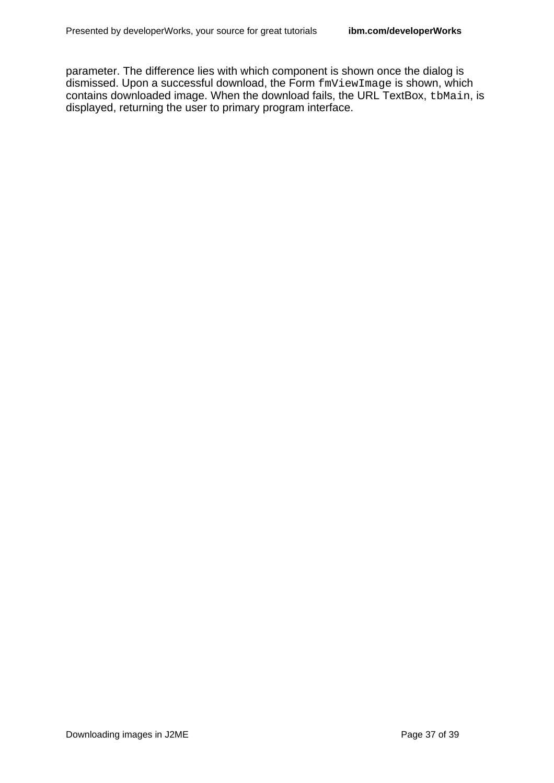parameter. The difference lies with which component is shown once the dialog is dismissed. Upon a successful download, the Form  $f_{\text{mv}}$  tew Image is shown, which contains downloaded image. When the download fails, the URL TextBox, the Main, is displayed, returning the user to primary program interface.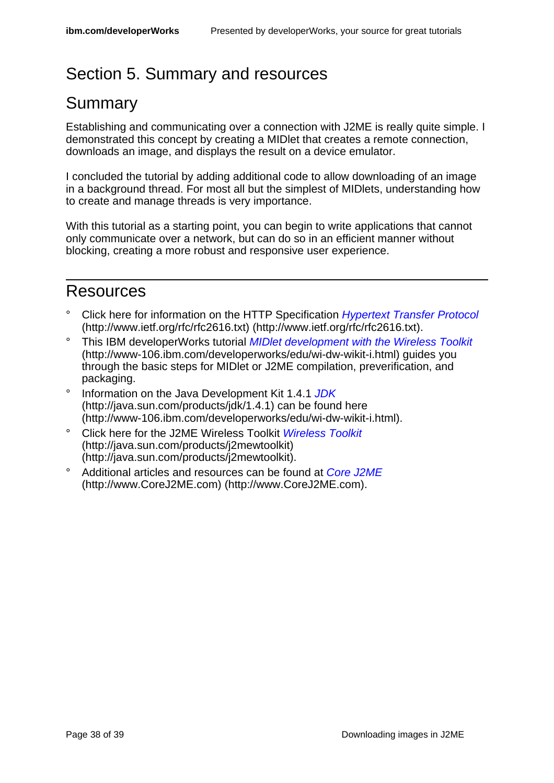# <span id="page-37-0"></span>Section 5. Summary and resources

# Summary

Establishing and communicating over a connection with J2ME is really quite simple. I demonstrated this concept by creating a MIDlet that creates a remote connection, downloads an image, and displays the result on a device emulator.

I concluded the tutorial by adding additional code to allow downloading of an image in a background thread. For most all but the simplest of MIDlets, understanding how to create and manage threads is very importance.

With this tutorial as a starting point, you can begin to write applications that cannot only communicate over a network, but can do so in an efficient manner without blocking, creating a more robust and responsive user experience.

### <span id="page-37-1"></span>Resources

- Click here for information on the HTTP Specification *[Hypertext Transfer Protocol](http://www.ietf.org/rfc/rfc2616.txt)* (http://www.ietf.org/rfc/rfc2616.txt) (http://www.ietf.org/rfc/rfc2616.txt).
- ° This IBM developerWorks tutorial [MIDlet development with the Wireless Toolkit](http://www-106.ibm.com/developerworks/edu/wi-dw-wikit-i.html) (http://www-106.ibm.com/developerworks/edu/wi-dw-wikit-i.html) guides you through the basic steps for MIDlet or J2ME compilation, preverification, and packaging.
- Information on the Java Development Kit 1.4.1 [JDK](http://java.sun.com/products/jdk/1.4.1) (http://java.sun.com/products/jdk/1.4.1) can be found here (http://www-106.ibm.com/developerworks/edu/wi-dw-wikit-i.html).
- Click here for the J2ME [Wireless Toolkit](http://java.sun.com/products/j2mewtoolkit) Wireless Toolkit (http://java.sun.com/products/j2mewtoolkit) (http://java.sun.com/products/j2mewtoolkit).
- <sup>o</sup> Additional articles and resources can be found at [Core J2ME](http://www.CoreJ2ME.com) (http://www.CoreJ2ME.com) (http://www.CoreJ2ME.com).